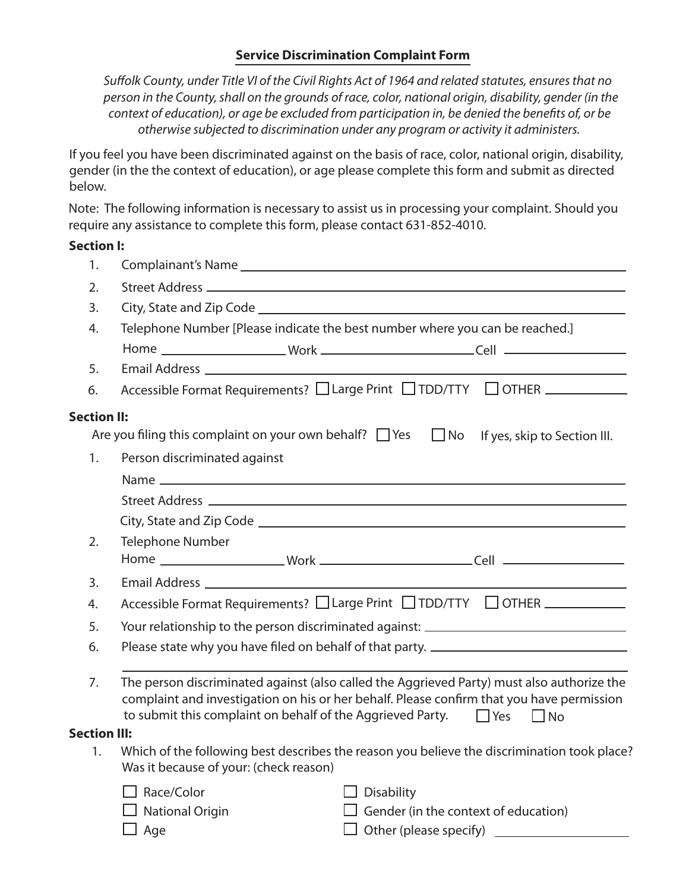## **Service Discrimination Complaint Form**

Suffolk County, under Title VI of the Civil Rights Act of 1964 and related statutes, ensures that no *person in the County, shall on the grounds of race, color, national origin, disability, gender (in the* context of education), or age be excluded from participation in, be denied the benefits of, or be  *otherwise subjected to discrimination under any program or activity it administers.* 

If you feel you have been discriminated against on the basis of race, color, national origin, disability, gender (in the the context of education), or age please complete this form and submit as directed below.

Note: The following information is necessary to assist us in processing your complaint. Should you require any assistance to complete this form, please contact 631-852-4010.

## **Section I:**

| 1.                  |                                                                                                                                       |                                                                                                                                                                                                                                                                            |  |
|---------------------|---------------------------------------------------------------------------------------------------------------------------------------|----------------------------------------------------------------------------------------------------------------------------------------------------------------------------------------------------------------------------------------------------------------------------|--|
| 2.                  |                                                                                                                                       |                                                                                                                                                                                                                                                                            |  |
| 3.                  |                                                                                                                                       | City, State and Zip Code entrance and the Code of the Contract of the Code of the Code of the Code of the Code                                                                                                                                                             |  |
| 4.                  |                                                                                                                                       | Telephone Number [Please indicate the best number where you can be reached.]                                                                                                                                                                                               |  |
|                     |                                                                                                                                       |                                                                                                                                                                                                                                                                            |  |
| 5.                  |                                                                                                                                       |                                                                                                                                                                                                                                                                            |  |
| 6.                  |                                                                                                                                       | Accessible Format Requirements? □ Large Print □ TDD/TTY □ OTHER ___________                                                                                                                                                                                                |  |
| <b>Section II:</b>  |                                                                                                                                       |                                                                                                                                                                                                                                                                            |  |
|                     | Are you filing this complaint on your own behalf? $\Box$ Yes $\Box$ No                                                                | If yes, skip to Section III.                                                                                                                                                                                                                                               |  |
| 1.                  | Person discriminated against                                                                                                          |                                                                                                                                                                                                                                                                            |  |
|                     |                                                                                                                                       |                                                                                                                                                                                                                                                                            |  |
|                     |                                                                                                                                       |                                                                                                                                                                                                                                                                            |  |
|                     |                                                                                                                                       |                                                                                                                                                                                                                                                                            |  |
| 2.                  | <b>Telephone Number</b>                                                                                                               |                                                                                                                                                                                                                                                                            |  |
|                     |                                                                                                                                       |                                                                                                                                                                                                                                                                            |  |
| 3.                  |                                                                                                                                       |                                                                                                                                                                                                                                                                            |  |
| 4.                  | Accessible Format Requirements? □ Large Print □ TDD/TTY □ OTHER ___________                                                           |                                                                                                                                                                                                                                                                            |  |
| 5.                  |                                                                                                                                       | Your relationship to the person discriminated against: __________________________                                                                                                                                                                                          |  |
| 6.                  |                                                                                                                                       | Please state why you have filed on behalf of that party. ________________________                                                                                                                                                                                          |  |
| 7.                  |                                                                                                                                       | The person discriminated against (also called the Aggrieved Party) must also authorize the<br>complaint and investigation on his or her behalf. Please confirm that you have permission<br>to submit this complaint on behalf of the Aggrieved Party. $\Box$ Yes $\Box$ No |  |
| <b>Section III:</b> |                                                                                                                                       |                                                                                                                                                                                                                                                                            |  |
| 1.                  | Which of the following best describes the reason you believe the discrimination took place?<br>Was it because of your: (check reason) |                                                                                                                                                                                                                                                                            |  |
|                     | $\Box$ Race/Color                                                                                                                     | $\Box$ Disability                                                                                                                                                                                                                                                          |  |
|                     | $\Box$ National Origin                                                                                                                | $\Box$ Gender (in the context of education)                                                                                                                                                                                                                                |  |
|                     | $\Box$ Age                                                                                                                            | □ Other (please specify) ______________________                                                                                                                                                                                                                            |  |